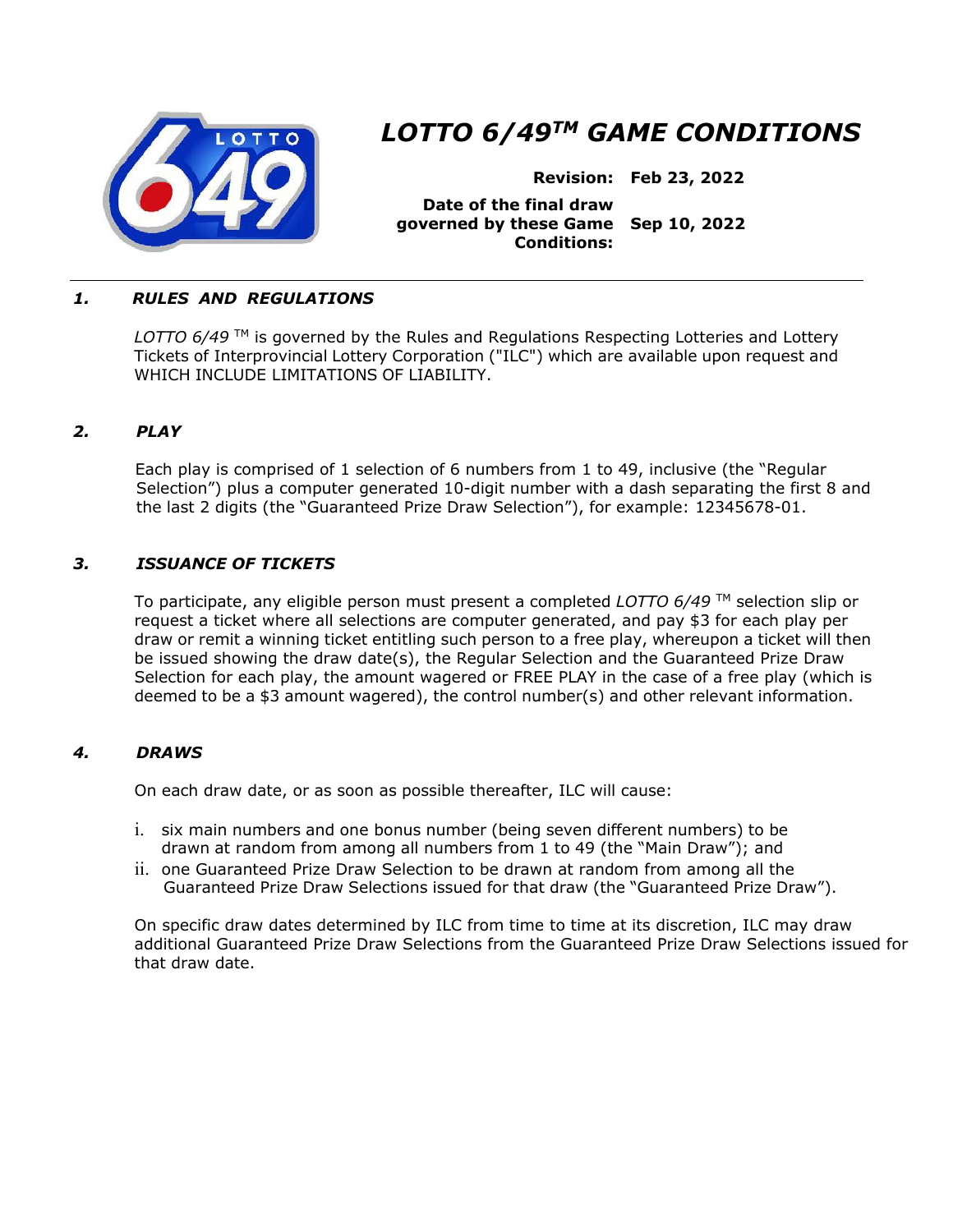

# *LOTTO 6/49TM GAME CONDITIONS*

**Revision: Feb 23, 2022** 

**Date of the final draw governed by these Game Sep 10, 2022 Conditions:** 

# *1. RULES AND REGULATIONS*

LOTTO 6/49<sup>™</sup> is governed by the Rules and Regulations Respecting Lotteries and Lottery Tickets of Interprovincial Lottery Corporation ("ILC") which are available upon request and WHICH INCLUDE LIMITATIONS OF LIABILITY.

# *2. PLAY*

Each play is comprised of 1 selection of 6 numbers from 1 to 49, inclusive (the "Regular Selection") plus a computer generated 10-digit number with a dash separating the first 8 and the last 2 digits (the "Guaranteed Prize Draw Selection"), for example: 12345678-01.

# *3. ISSUANCE OF TICKETS*

To participate, any eligible person must present a completed *LOTTO 6/49* TM selection slip or request a ticket where all selections are computer generated, and pay \$3 for each play per draw or remit a winning ticket entitling such person to a free play, whereupon a ticket will then be issued showing the draw date(s), the Regular Selection and the Guaranteed Prize Draw Selection for each play, the amount wagered or FREE PLAY in the case of a free play (which is deemed to be a \$3 amount wagered), the control number(s) and other relevant information.

### *4. DRAWS*

On each draw date, or as soon as possible thereafter, ILC will cause:

- i. six main numbers and one bonus number (being seven different numbers) to be drawn at random from among all numbers from 1 to 49 (the "Main Draw"); and
- ii. one Guaranteed Prize Draw Selection to be drawn at random from among all the Guaranteed Prize Draw Selections issued for that draw (the "Guaranteed Prize Draw").

On specific draw dates determined by ILC from time to time at its discretion, ILC may draw additional Guaranteed Prize Draw Selections from the Guaranteed Prize Draw Selections issued for that draw date.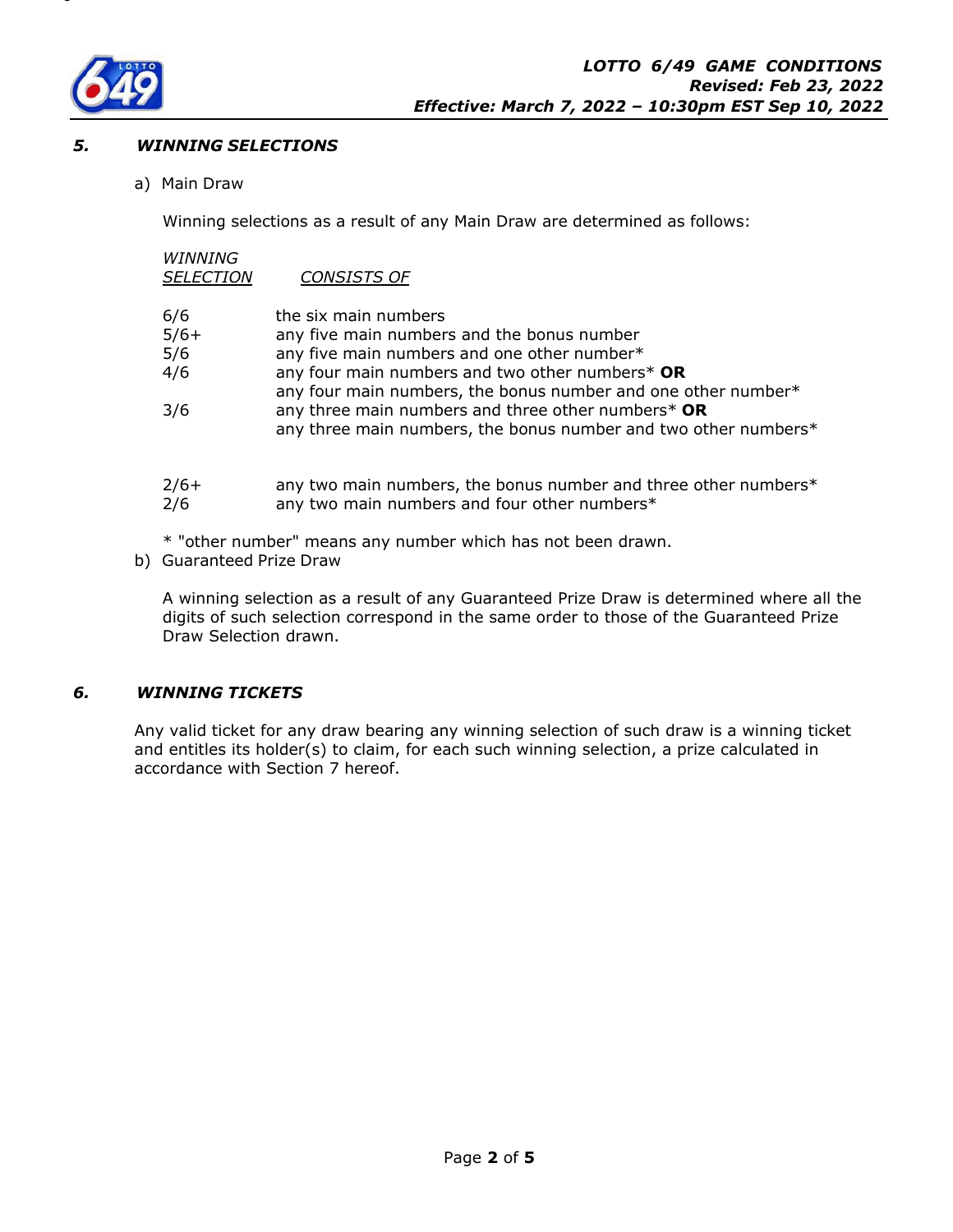

## *5. WINNING SELECTIONS*

a) Main Draw

Winning selections as a result of any Main Draw are determined as follows:

# *WINNING*

| CONSISTS OF<br><b>SELECTION</b> |
|---------------------------------|
|---------------------------------|

| 6/6           | the six main numbers                                                                                                  |
|---------------|-----------------------------------------------------------------------------------------------------------------------|
| $5/6+$        | any five main numbers and the bonus number                                                                            |
| 5/6           | any five main numbers and one other number*                                                                           |
| 4/6           | any four main numbers and two other numbers* OR                                                                       |
|               | any four main numbers, the bonus number and one other number*                                                         |
| 3/6           | any three main numbers and three other numbers* OR<br>any three main numbers, the bonus number and two other numbers* |
| $2/6+$<br>2/6 | any two main numbers, the bonus number and three other numbers*<br>any two main numbers and four other numbers*       |

\* "other number" means any number which has not been drawn.

b) Guaranteed Prize Draw

A winning selection as a result of any Guaranteed Prize Draw is determined where all the digits of such selection correspond in the same order to those of the Guaranteed Prize Draw Selection drawn.

# *6. WINNING TICKETS*

Any valid ticket for any draw bearing any winning selection of such draw is a winning ticket and entitles its holder(s) to claim, for each such winning selection, a prize calculated in accordance with Section 7 hereof.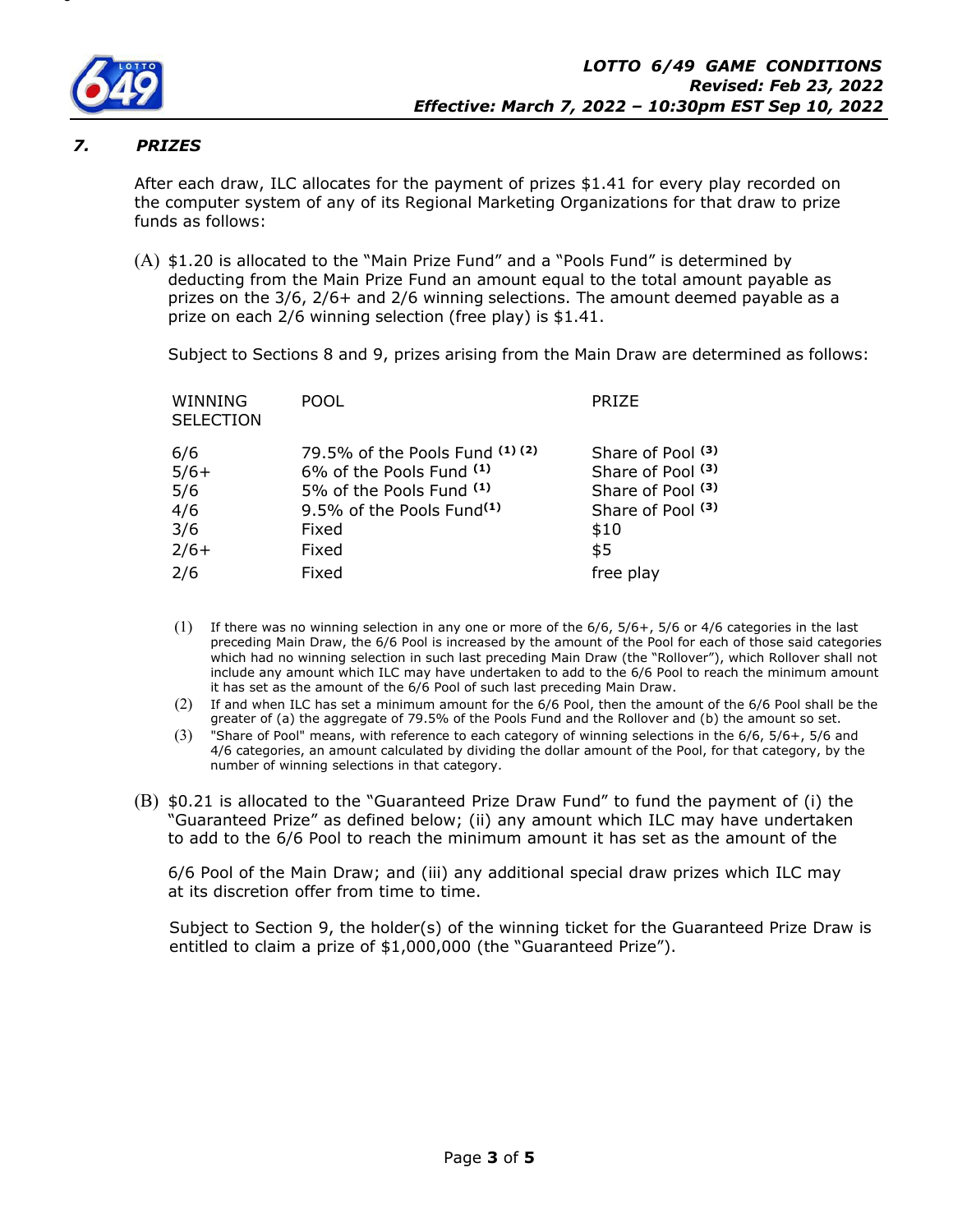

## *7. PRIZES*

After each draw, ILC allocates for the payment of prizes \$1.41 for every play recorded on the computer system of any of its Regional Marketing Organizations for that draw to prize funds as follows:

(A) \$1.20 is allocated to the "Main Prize Fund" and a "Pools Fund" is determined by deducting from the Main Prize Fund an amount equal to the total amount payable as prizes on the 3/6, 2/6+ and 2/6 winning selections. The amount deemed payable as a prize on each 2/6 winning selection (free play) is \$1.41.

Subject to Sections 8 and 9, prizes arising from the Main Draw are determined as follows:

| WINNING<br><b>SELECTION</b>                  | <b>POOL</b>                                                                                                                                                  | <b>PRIZE</b>                                                                                    |
|----------------------------------------------|--------------------------------------------------------------------------------------------------------------------------------------------------------------|-------------------------------------------------------------------------------------------------|
| 6/6<br>$5/6+$<br>5/6<br>4/6<br>3/6<br>$2/6+$ | 79.5% of the Pools Fund (1)(2)<br>6% of the Pools Fund <sup>(1)</sup><br>5% of the Pools Fund (1)<br>9.5% of the Pools Fund <sup>(1)</sup><br>Fixed<br>Fixed | Share of Pool (3)<br>Share of Pool (3)<br>Share of Pool (3)<br>Share of Pool (3)<br>\$10<br>\$5 |
| 2/6                                          | Fixed                                                                                                                                                        | free play                                                                                       |
|                                              |                                                                                                                                                              |                                                                                                 |

- $(1)$  If there was no winning selection in any one or more of the  $6/6$ ,  $5/6+$ ,  $5/6$  or  $4/6$  categories in the last preceding Main Draw, the 6/6 Pool is increased by the amount of the Pool for each of those said categories which had no winning selection in such last preceding Main Draw (the "Rollover"), which Rollover shall not include any amount which ILC may have undertaken to add to the 6/6 Pool to reach the minimum amount it has set as the amount of the 6/6 Pool of such last preceding Main Draw.
- (2) If and when ILC has set a minimum amount for the 6/6 Pool, then the amount of the 6/6 Pool shall be the greater of (a) the aggregate of 79.5% of the Pools Fund and the Rollover and (b) the amount so set.
- (3) "Share of Pool" means, with reference to each category of winning selections in the 6/6, 5/6+, 5/6 and 4/6 categories, an amount calculated by dividing the dollar amount of the Pool, for that category, by the number of winning selections in that category.
- (B) \$0.21 is allocated to the "Guaranteed Prize Draw Fund" to fund the payment of (i) the "Guaranteed Prize" as defined below; (ii) any amount which ILC may have undertaken to add to the 6/6 Pool to reach the minimum amount it has set as the amount of the

6/6 Pool of the Main Draw; and (iii) any additional special draw prizes which ILC may at its discretion offer from time to time.

Subject to Section 9, the holder(s) of the winning ticket for the Guaranteed Prize Draw is entitled to claim a prize of \$1,000,000 (the "Guaranteed Prize").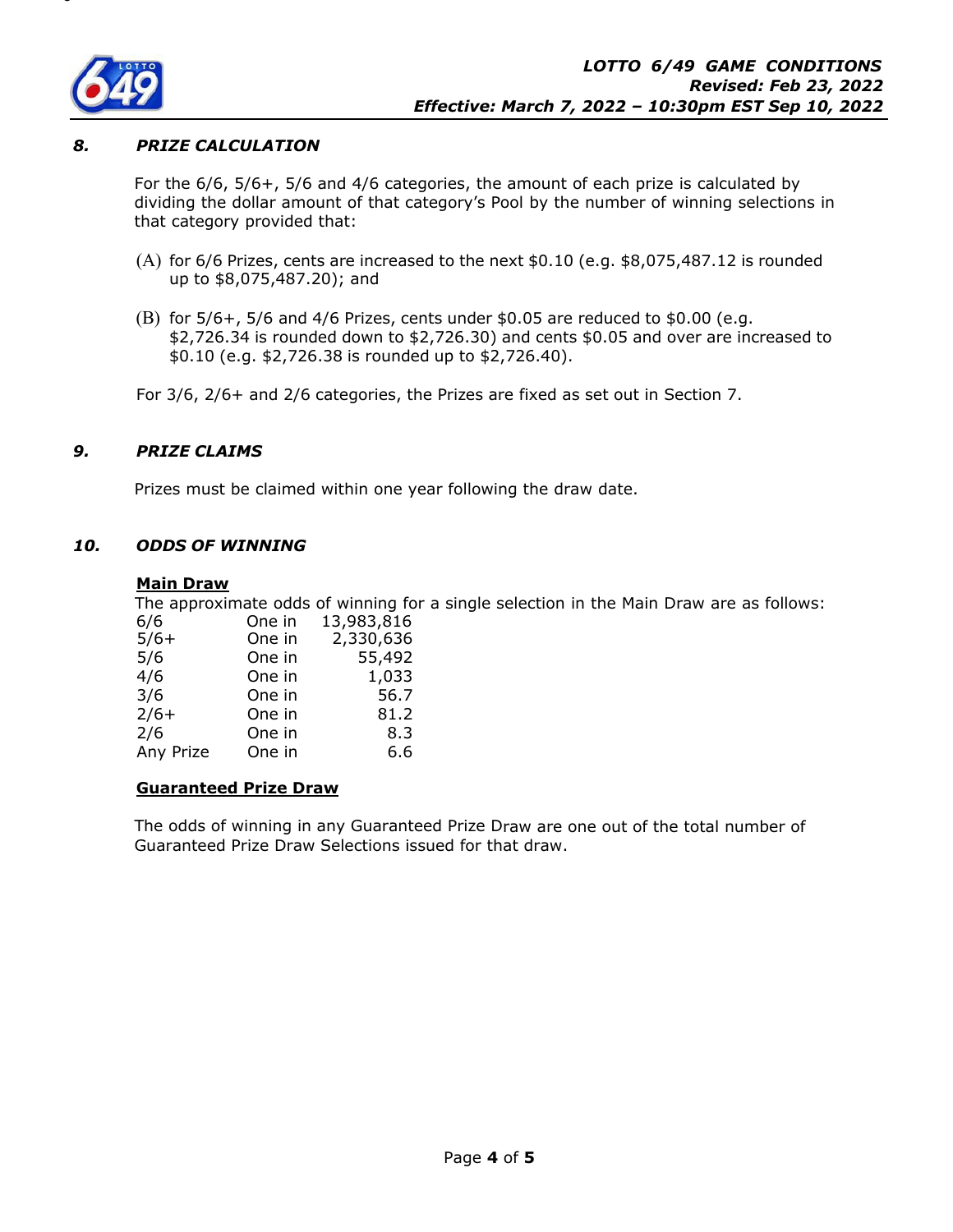

## *8. PRIZE CALCULATION*

For the 6/6, 5/6+, 5/6 and 4/6 categories, the amount of each prize is calculated by dividing the dollar amount of that category's Pool by the number of winning selections in that category provided that:

- (A) for 6/6 Prizes, cents are increased to the next \$0.10 (e.g. \$8,075,487.12 is rounded up to \$8,075,487.20); and
- (B) for 5/6+, 5/6 and 4/6 Prizes, cents under \$0.05 are reduced to \$0.00 (e.g. \$2,726.34 is rounded down to \$2,726.30) and cents \$0.05 and over are increased to \$0.10 (e.g. \$2,726.38 is rounded up to \$2,726.40).

For 3/6, 2/6+ and 2/6 categories, the Prizes are fixed as set out in Section 7.

### *9. PRIZE CLAIMS*

Prizes must be claimed within one year following the draw date.

### *10. ODDS OF WINNING*

#### **Main Draw**

The approximate odds of winning for a single selection in the Main Draw are as follows: 6/6 One in 13,983,816

| v/ v      | ווו סווט | 10,000,010 |
|-----------|----------|------------|
| $5/6+$    | One in   | 2,330,636  |
| 5/6       | One in   | 55,492     |
| 4/6       | One in   | 1,033      |
| 3/6       | One in   | 56.7       |
| $2/6+$    | One in   | 81.2       |
| 2/6       | One in   | 8.3        |
| Any Prize | One in   | 6.6        |

# **Guaranteed Prize Draw**

The odds of winning in any Guaranteed Prize Draw are one out of the total number of Guaranteed Prize Draw Selections issued for that draw.